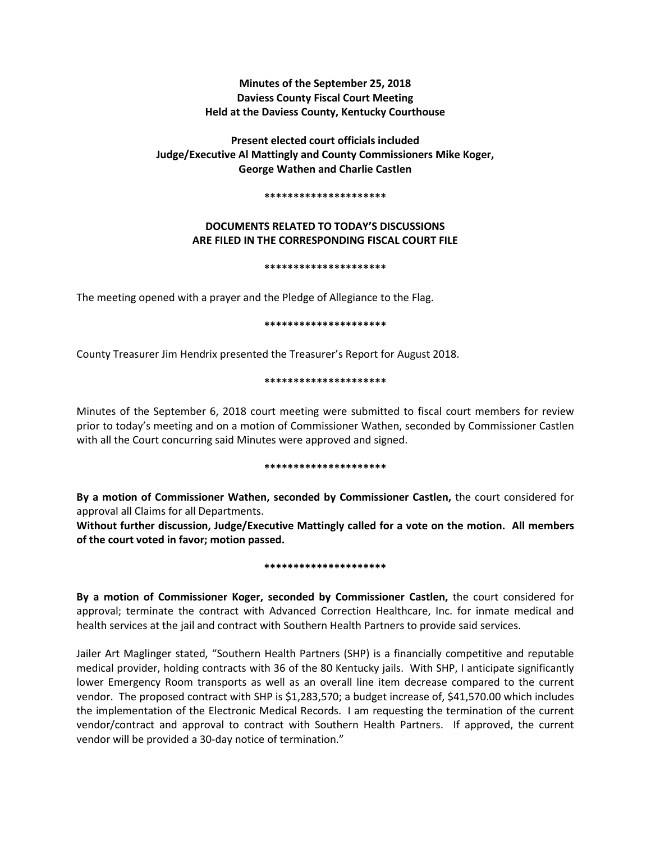# **Minutes of the September 25, 2018 Daviess County Fiscal Court Meeting Held at the Daviess County, Kentucky Courthouse**

# **Present elected court officials included Judge/Executive Al Mattingly and County Commissioners Mike Koger, George Wathen and Charlie Castlen**

#### **\*\*\*\*\*\*\*\*\*\*\*\*\*\*\*\*\*\*\*\*\***

# **DOCUMENTS RELATED TO TODAY'S DISCUSSIONS ARE FILED IN THE CORRESPONDING FISCAL COURT FILE**

## **\*\*\*\*\*\*\*\*\*\*\*\*\*\*\*\*\*\*\*\*\***

The meeting opened with a prayer and the Pledge of Allegiance to the Flag.

## **\*\*\*\*\*\*\*\*\*\*\*\*\*\*\*\*\*\*\*\*\***

County Treasurer Jim Hendrix presented the Treasurer's Report for August 2018.

## **\*\*\*\*\*\*\*\*\*\*\*\*\*\*\*\*\*\*\*\*\***

Minutes of the September 6, 2018 court meeting were submitted to fiscal court members for review prior to today's meeting and on a motion of Commissioner Wathen, seconded by Commissioner Castlen with all the Court concurring said Minutes were approved and signed.

#### **\*\*\*\*\*\*\*\*\*\*\*\*\*\*\*\*\*\*\*\*\***

**By a motion of Commissioner Wathen, seconded by Commissioner Castlen,** the court considered for approval all Claims for all Departments.

**Without further discussion, Judge/Executive Mattingly called for a vote on the motion. All members of the court voted in favor; motion passed.** 

#### **\*\*\*\*\*\*\*\*\*\*\*\*\*\*\*\*\*\*\*\*\***

**By a motion of Commissioner Koger, seconded by Commissioner Castlen,** the court considered for approval; terminate the contract with Advanced Correction Healthcare, Inc. for inmate medical and health services at the jail and contract with Southern Health Partners to provide said services.

Jailer Art Maglinger stated, "Southern Health Partners (SHP) is a financially competitive and reputable medical provider, holding contracts with 36 of the 80 Kentucky jails. With SHP, I anticipate significantly lower Emergency Room transports as well as an overall line item decrease compared to the current vendor. The proposed contract with SHP is \$1,283,570; a budget increase of, \$41,570.00 which includes the implementation of the Electronic Medical Records. I am requesting the termination of the current vendor/contract and approval to contract with Southern Health Partners. If approved, the current vendor will be provided a 30-day notice of termination."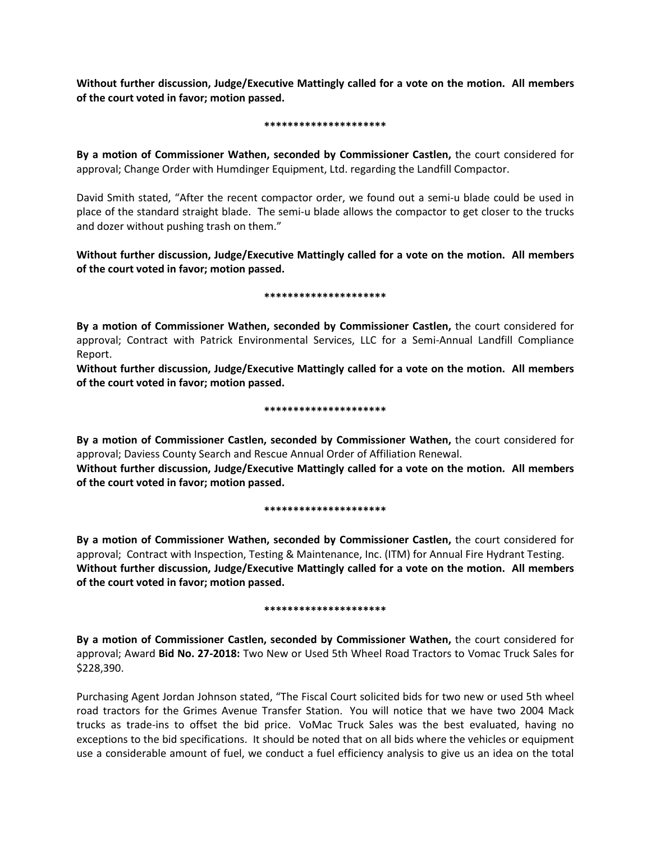**Without further discussion, Judge/Executive Mattingly called for a vote on the motion. All members of the court voted in favor; motion passed.** 

#### **\*\*\*\*\*\*\*\*\*\*\*\*\*\*\*\*\*\*\*\*\***

**By a motion of Commissioner Wathen, seconded by Commissioner Castlen,** the court considered for approval; Change Order with Humdinger Equipment, Ltd. regarding the Landfill Compactor.

David Smith stated, "After the recent compactor order, we found out a semi-u blade could be used in place of the standard straight blade. The semi-u blade allows the compactor to get closer to the trucks and dozer without pushing trash on them."

**Without further discussion, Judge/Executive Mattingly called for a vote on the motion. All members of the court voted in favor; motion passed.** 

## **\*\*\*\*\*\*\*\*\*\*\*\*\*\*\*\*\*\*\*\*\***

**By a motion of Commissioner Wathen, seconded by Commissioner Castlen,** the court considered for approval; Contract with Patrick Environmental Services, LLC for a Semi-Annual Landfill Compliance Report.

**Without further discussion, Judge/Executive Mattingly called for a vote on the motion. All members of the court voted in favor; motion passed.** 

## **\*\*\*\*\*\*\*\*\*\*\*\*\*\*\*\*\*\*\*\*\***

**By a motion of Commissioner Castlen, seconded by Commissioner Wathen,** the court considered for approval; Daviess County Search and Rescue Annual Order of Affiliation Renewal.

**Without further discussion, Judge/Executive Mattingly called for a vote on the motion. All members of the court voted in favor; motion passed.** 

#### **\*\*\*\*\*\*\*\*\*\*\*\*\*\*\*\*\*\*\*\*\***

**By a motion of Commissioner Wathen, seconded by Commissioner Castlen,** the court considered for approval; Contract with Inspection, Testing & Maintenance, Inc. (ITM) for Annual Fire Hydrant Testing. **Without further discussion, Judge/Executive Mattingly called for a vote on the motion. All members of the court voted in favor; motion passed.** 

## **\*\*\*\*\*\*\*\*\*\*\*\*\*\*\*\*\*\*\*\*\***

**By a motion of Commissioner Castlen, seconded by Commissioner Wathen,** the court considered for approval; Award **Bid No. 27-2018:** Two New or Used 5th Wheel Road Tractors to Vomac Truck Sales for \$228,390.

Purchasing Agent Jordan Johnson stated, "The Fiscal Court solicited bids for two new or used 5th wheel road tractors for the Grimes Avenue Transfer Station. You will notice that we have two 2004 Mack trucks as trade-ins to offset the bid price. VoMac Truck Sales was the best evaluated, having no exceptions to the bid specifications. It should be noted that on all bids where the vehicles or equipment use a considerable amount of fuel, we conduct a fuel efficiency analysis to give us an idea on the total